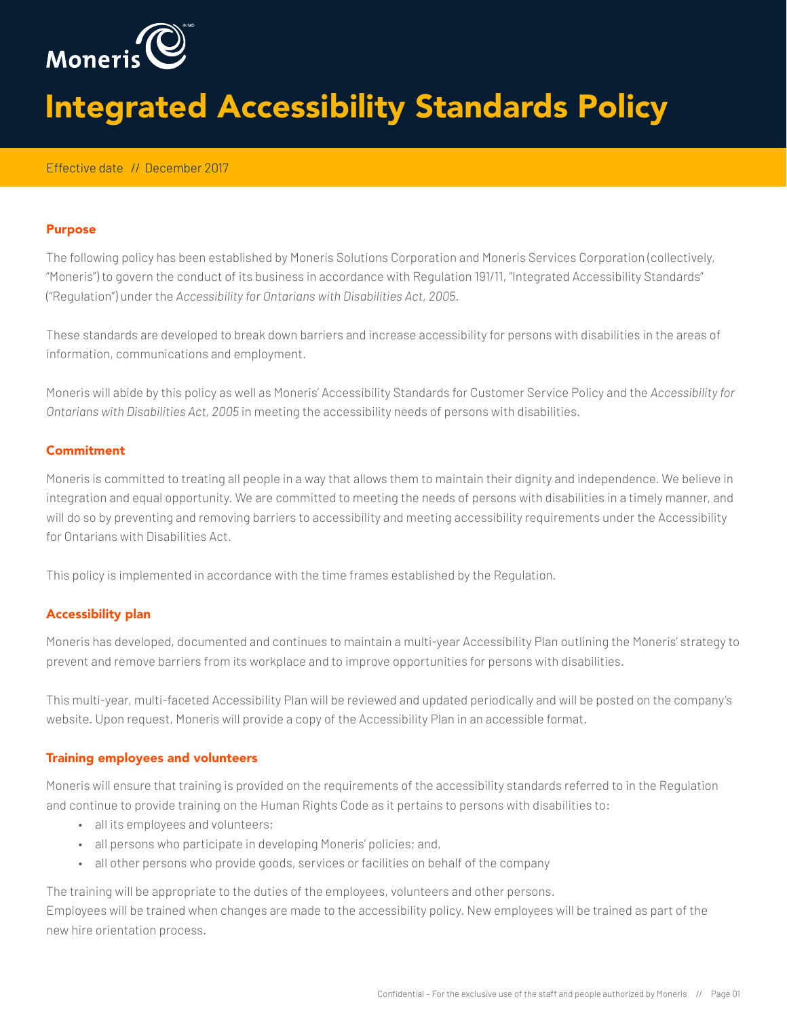

# Integrated Accessibility Standards Policy

## Effective date // December 2017

#### Purpose

The following policy has been established by Moneris Solutions Corporation and Moneris Services Corporation (collectively, "Moneris") to govern the conduct of its business in accordance with Regulation 191/11, "Integrated Accessibility Standards" ("Regulation") under the *Accessibility for Ontarians with Disabilities Act, 2005.*

These standards are developed to break down barriers and increase accessibility for persons with disabilities in the areas of information, communications and employment.

Moneris will abide by this policy as well as Moneris' Accessibility Standards for Customer Service Policy and the *Accessibility for Ontarians with Disabilities Act, 2005* in meeting the accessibility needs of persons with disabilities.

#### **Commitment**

Moneris is committed to treating all people in a way that allows them to maintain their dignity and independence. We believe in integration and equal opportunity. We are committed to meeting the needs of persons with disabilities in a timely manner, and will do so by preventing and removing barriers to accessibility and meeting accessibility requirements under the Accessibility for Ontarians with Disabilities Act.

This policy is implemented in accordance with the time frames established by the Regulation.

## Accessibility plan

Moneris has developed, documented and continues to maintain a multi-year Accessibility Plan outlining the Moneris' strategy to prevent and remove barriers from its workplace and to improve opportunities for persons with disabilities.

This multi-year, multi-faceted Accessibility Plan will be reviewed and updated periodically and will be posted on the company's website. Upon request, Moneris will provide a copy of the Accessibility Plan in an accessible format.

## Training employees and volunteers

Moneris will ensure that training is provided on the requirements of the accessibility standards referred to in the Regulation and continue to provide training on the Human Rights Code as it pertains to persons with disabilities to:

- all its employees and volunteers;
- all persons who participate in developing Moneris' policies; and,
- all other persons who provide goods, services or facilities on behalf of the company

The training will be appropriate to the duties of the employees, volunteers and other persons.

Employees will be trained when changes are made to the accessibility policy. New employees will be trained as part of the new hire orientation process.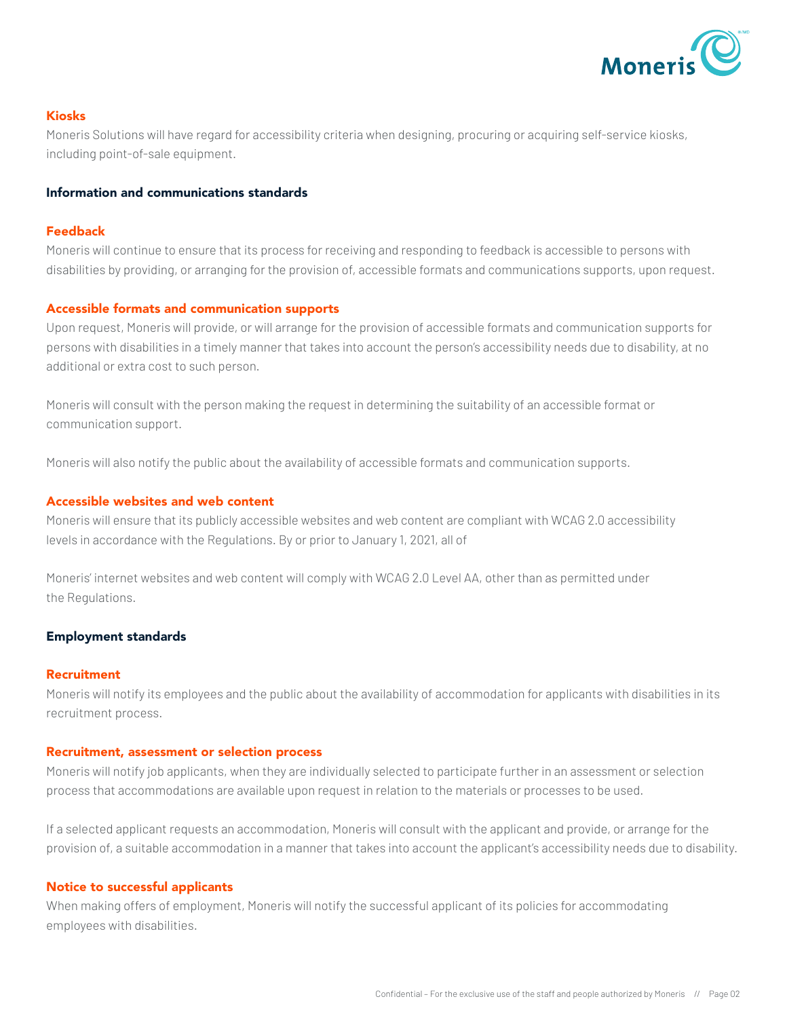

# Kiosks

Moneris Solutions will have regard for accessibility criteria when designing, procuring or acquiring self-service kiosks, including point-of-sale equipment.

## Information and communications standards

# Feedback

Moneris will continue to ensure that its process for receiving and responding to feedback is accessible to persons with disabilities by providing, or arranging for the provision of, accessible formats and communications supports, upon request.

# Accessible formats and communication supports

Upon request, Moneris will provide, or will arrange for the provision of accessible formats and communication supports for persons with disabilities in a timely manner that takes into account the person's accessibility needs due to disability, at no additional or extra cost to such person.

Moneris will consult with the person making the request in determining the suitability of an accessible format or communication support.

Moneris will also notify the public about the availability of accessible formats and communication supports.

# Accessible websites and web content

Moneris will ensure that its publicly accessible websites and web content are compliant with WCAG 2.0 accessibility levels in accordance with the Regulations. By or prior to January 1, 2021, all of

Moneris' internet websites and web content will comply with WCAG 2.0 Level AA, other than as permitted under the Regulations.

## Employment standards

## **Recruitment**

Moneris will notify its employees and the public about the availability of accommodation for applicants with disabilities in its recruitment process.

## Recruitment, assessment or selection process

Moneris will notify job applicants, when they are individually selected to participate further in an assessment or selection process that accommodations are available upon request in relation to the materials or processes to be used.

If a selected applicant requests an accommodation, Moneris will consult with the applicant and provide, or arrange for the provision of, a suitable accommodation in a manner that takes into account the applicant's accessibility needs due to disability.

## Notice to successful applicants

When making offers of employment, Moneris will notify the successful applicant of its policies for accommodating employees with disabilities.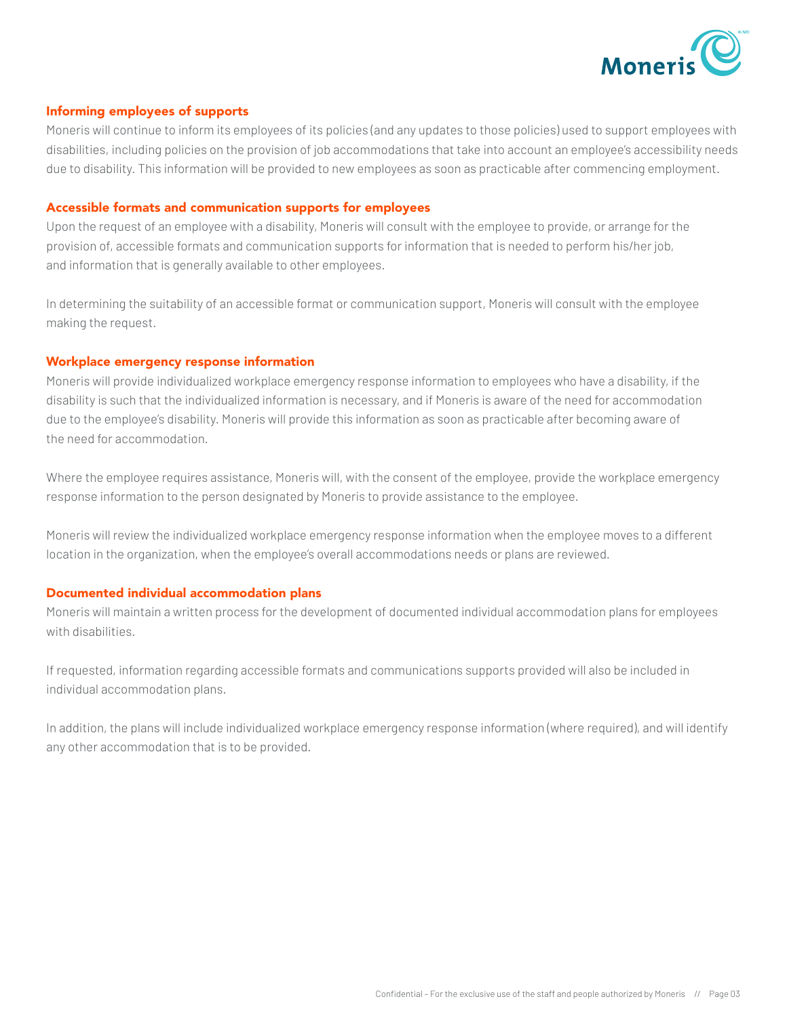

## Informing employees of supports

Moneris will continue to inform its employees of its policies (and any updates to those policies) used to support employees with disabilities, including policies on the provision of job accommodations that take into account an employee's accessibility needs due to disability. This information will be provided to new employees as soon as practicable after commencing employment.

#### Accessible formats and communication supports for employees

Upon the request of an employee with a disability, Moneris will consult with the employee to provide, or arrange for the provision of, accessible formats and communication supports for information that is needed to perform his/her job, and information that is generally available to other employees.

In determining the suitability of an accessible format or communication support, Moneris will consult with the employee making the request.

#### Workplace emergency response information

Moneris will provide individualized workplace emergency response information to employees who have a disability, if the disability is such that the individualized information is necessary, and if Moneris is aware of the need for accommodation due to the employee's disability. Moneris will provide this information as soon as practicable after becoming aware of the need for accommodation.

Where the employee requires assistance, Moneris will, with the consent of the employee, provide the workplace emergency response information to the person designated by Moneris to provide assistance to the employee.

Moneris will review the individualized workplace emergency response information when the employee moves to a different location in the organization, when the employee's overall accommodations needs or plans are reviewed.

## Documented individual accommodation plans

Moneris will maintain a written process for the development of documented individual accommodation plans for employees with disabilities.

If requested, information regarding accessible formats and communications supports provided will also be included in individual accommodation plans.

In addition, the plans will include individualized workplace emergency response information (where required), and will identify any other accommodation that is to be provided.